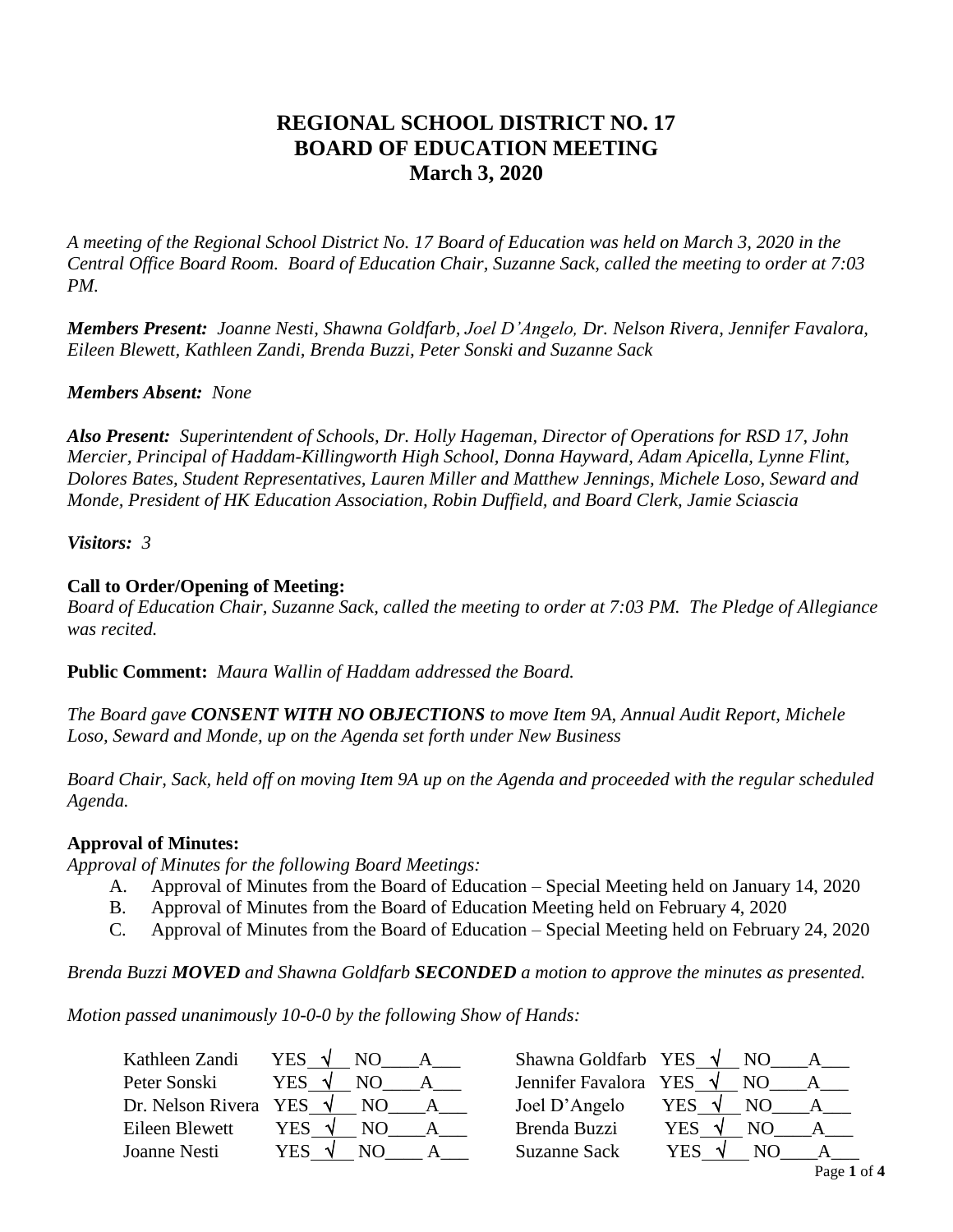# **REGIONAL SCHOOL DISTRICT NO. 17 BOARD OF EDUCATION MEETING March 3, 2020**

*A meeting of the Regional School District No. 17 Board of Education was held on March 3, 2020 in the Central Office Board Room. Board of Education Chair, Suzanne Sack, called the meeting to order at 7:03 PM.*

*Members Present: Joanne Nesti, Shawna Goldfarb, Joel D'Angelo, Dr. Nelson Rivera, Jennifer Favalora, Eileen Blewett, Kathleen Zandi, Brenda Buzzi, Peter Sonski and Suzanne Sack*

# *Members Absent: None*

*Also Present: Superintendent of Schools, Dr. Holly Hageman, Director of Operations for RSD 17, John Mercier, Principal of Haddam-Killingworth High School, Donna Hayward, Adam Apicella, Lynne Flint, Dolores Bates, Student Representatives, Lauren Miller and Matthew Jennings, Michele Loso, Seward and Monde, President of HK Education Association, Robin Duffield, and Board Clerk, Jamie Sciascia*

## *Visitors: 3*

## **Call to Order/Opening of Meeting:**

*Board of Education Chair, Suzanne Sack, called the meeting to order at 7:03 PM. The Pledge of Allegiance was recited.*

**Public Comment:** *Maura Wallin of Haddam addressed the Board.*

*The Board gave CONSENT WITH NO OBJECTIONS to move Item 9A, Annual Audit Report, Michele Loso, Seward and Monde, up on the Agenda set forth under New Business*

*Board Chair, Sack, held off on moving Item 9A up on the Agenda and proceeded with the regular scheduled Agenda.*

## **Approval of Minutes:**

*Approval of Minutes for the following Board Meetings:*

- A. Approval of Minutes from the Board of Education Special Meeting held on January 14, 2020
- B. Approval of Minutes from the Board of Education Meeting held on February 4, 2020
- C. Approval of Minutes from the Board of Education Special Meeting held on February 24, 2020

*Brenda Buzzi MOVED and Shawna Goldfarb SECONDED a motion to approve the minutes as presented.* 

*Motion passed unanimously 10-0-0 by the following Show of Hands:*

| Kathleen Zandi        | YES √<br>NO.     | Shawna Goldfarb YES $\sqrt{}$ | NO.                  |
|-----------------------|------------------|-------------------------------|----------------------|
| Peter Sonski          | <b>YES</b><br>NC | Jennifer Favalora YES         | $\mathcal{A}$<br>NO. |
| Dr. Nelson Rivera YES | NO.<br>- V       | Joel D'Angelo                 | YES                  |
| Eileen Blewett        | <b>YES</b>       | Brenda Buzzi                  | YES<br>N()           |
| Joanne Nesti          | YES<br>NΩ        | <b>Suzanne Sack</b>           | YES<br>NO            |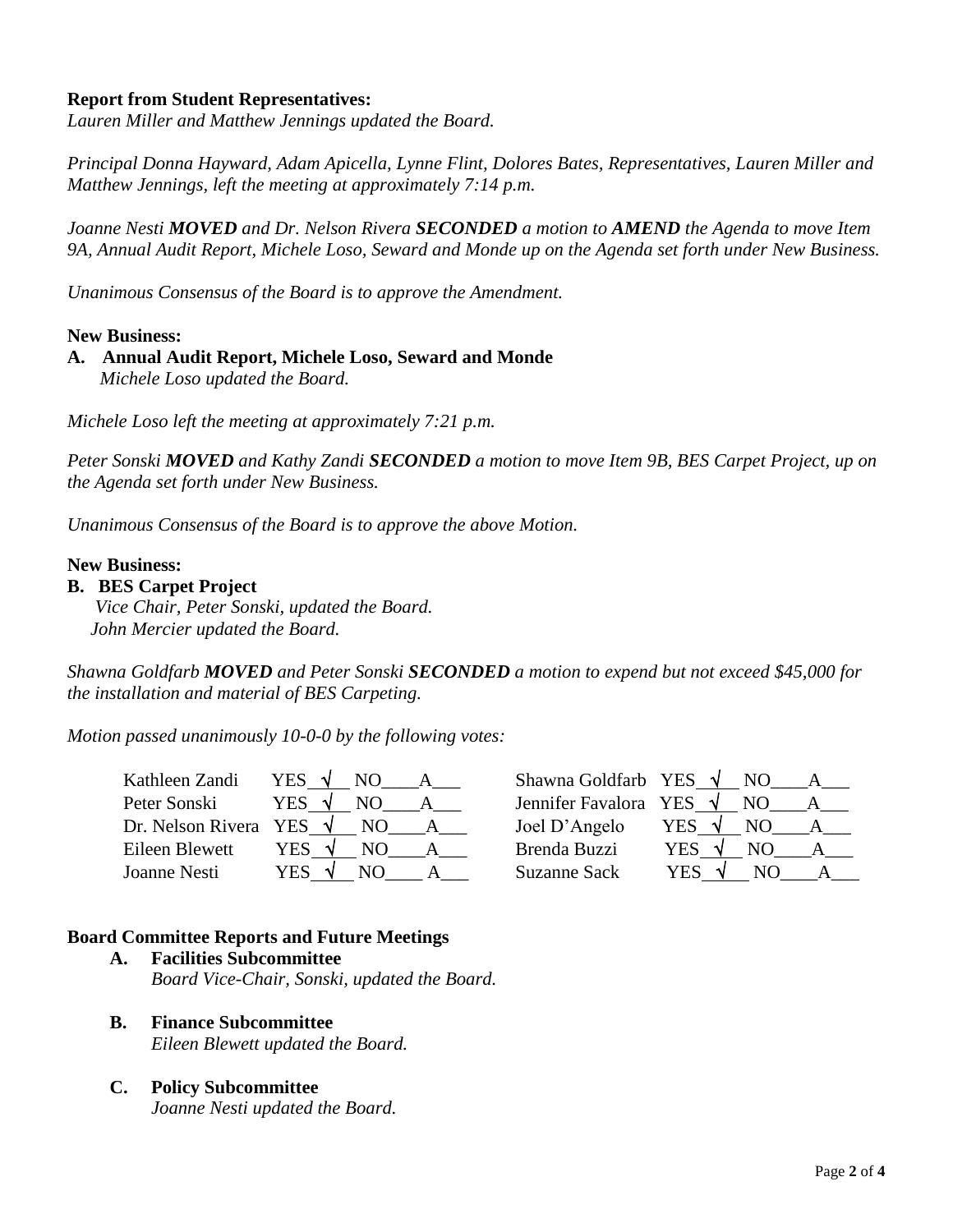## **Report from Student Representatives:**

*Lauren Miller and Matthew Jennings updated the Board.*

*Principal Donna Hayward, Adam Apicella, Lynne Flint, Dolores Bates, Representatives, Lauren Miller and Matthew Jennings, left the meeting at approximately 7:14 p.m.*

*Joanne Nesti MOVED and Dr. Nelson Rivera SECONDED a motion to AMEND the Agenda to move Item 9A, Annual Audit Report, Michele Loso, Seward and Monde up on the Agenda set forth under New Business.*

*Unanimous Consensus of the Board is to approve the Amendment.*

#### **New Business:**

**A. Annual Audit Report, Michele Loso, Seward and Monde** *Michele Loso updated the Board.*

*Michele Loso left the meeting at approximately 7:21 p.m.*

*Peter Sonski MOVED and Kathy Zandi SECONDED a motion to move Item 9B, BES Carpet Project, up on the Agenda set forth under New Business.*

*Unanimous Consensus of the Board is to approve the above Motion.*

#### **New Business:**

#### **B. BES Carpet Project**

 *Vice Chair, Peter Sonski, updated the Board. John Mercier updated the Board.*

*Shawna Goldfarb MOVED and Peter Sonski SECONDED a motion to expend but not exceed \$45,000 for the installation and material of BES Carpeting.* 

*Motion passed unanimously 10-0-0 by the following votes:*

| Kathleen Zandi        | YES √<br>N <sub>O</sub> | Shawna Goldfarb YES $\sqrt{}$   | N <sub>O</sub>   |
|-----------------------|-------------------------|---------------------------------|------------------|
| Peter Sonski          | YES.                    | Jennifer Favalora YES $\sqrt{}$ | NO.              |
| Dr. Nelson Rivera YES | N()                     | Joel D'Angelo                   | YES<br>NО        |
| Eileen Blewett        | YES.                    | Brenda Buzzi                    | <b>YES</b><br>NΟ |
| Joanne Nesti          | YES                     | <b>Suzanne Sack</b>             | YES<br>NO)       |

## **Board Committee Reports and Future Meetings**

- **A. Facilities Subcommittee** *Board Vice-Chair, Sonski, updated the Board.*
- **B. Finance Subcommittee** *Eileen Blewett updated the Board.*
- **C. Policy Subcommittee** *Joanne Nesti updated the Board.*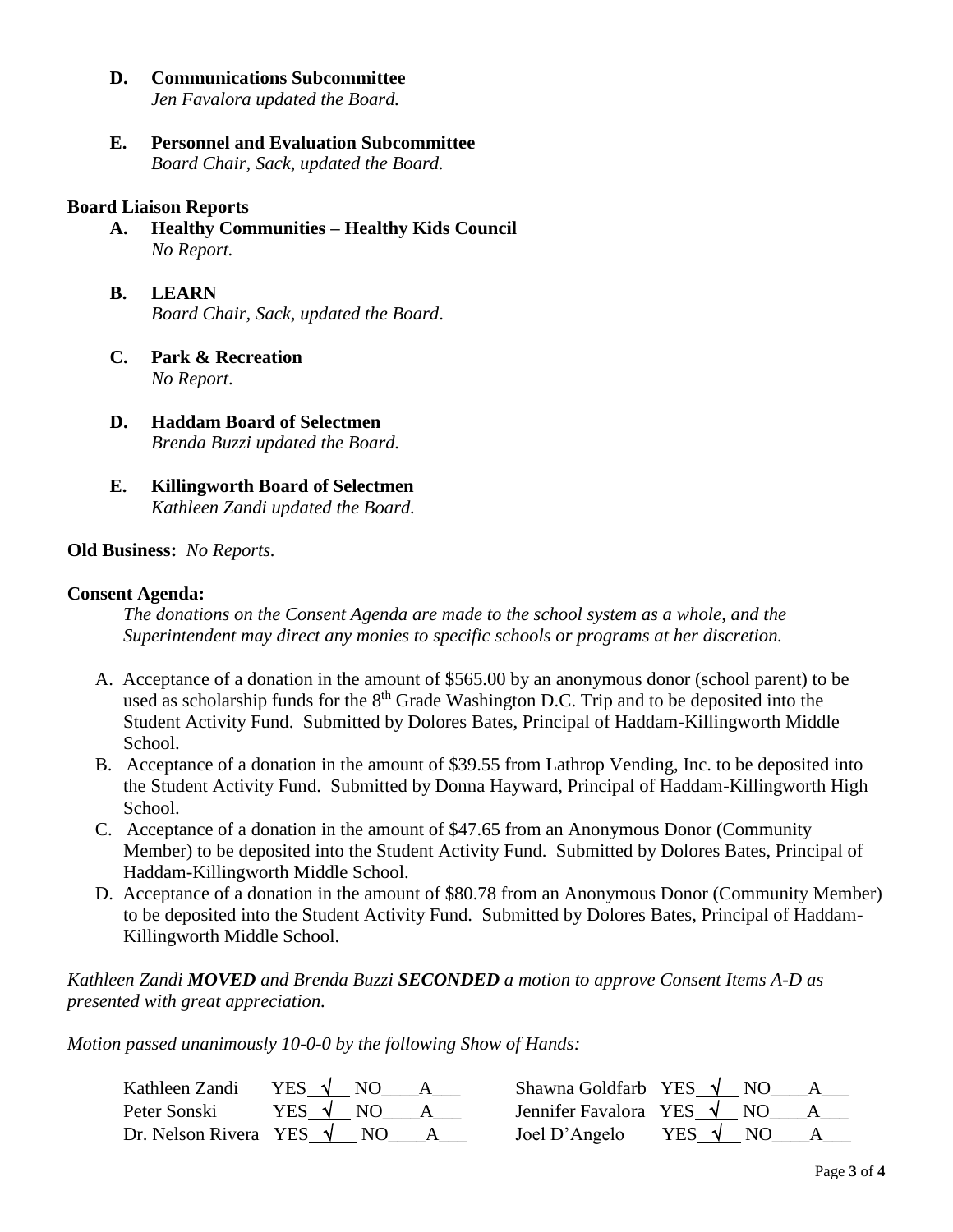**D. Communications Subcommittee**

*Jen Favalora updated the Board.*

**E. Personnel and Evaluation Subcommittee**  *Board Chair, Sack, updated the Board.*

#### **Board Liaison Reports**

- **A. Healthy Communities – Healthy Kids Council** *No Report.*
- **B. LEARN**  *Board Chair, Sack, updated the Board*.
- **C. Park & Recreation** *No Report*.
- **D. Haddam Board of Selectmen** *Brenda Buzzi updated the Board.*
- **E. Killingworth Board of Selectmen** *Kathleen Zandi updated the Board.*

## **Old Business:** *No Reports.*

#### **Consent Agenda:**

*The donations on the Consent Agenda are made to the school system as a whole, and the Superintendent may direct any monies to specific schools or programs at her discretion.*

- A. Acceptance of a donation in the amount of \$565.00 by an anonymous donor (school parent) to be used as scholarship funds for the  $8<sup>th</sup>$  Grade Washington D.C. Trip and to be deposited into the Student Activity Fund. Submitted by Dolores Bates, Principal of Haddam-Killingworth Middle School.
- B. Acceptance of a donation in the amount of \$39.55 from Lathrop Vending, Inc. to be deposited into the Student Activity Fund. Submitted by Donna Hayward, Principal of Haddam-Killingworth High School.
- C. Acceptance of a donation in the amount of \$47.65 from an Anonymous Donor (Community Member) to be deposited into the Student Activity Fund. Submitted by Dolores Bates, Principal of Haddam-Killingworth Middle School.
- D. Acceptance of a donation in the amount of \$80.78 from an Anonymous Donor (Community Member) to be deposited into the Student Activity Fund. Submitted by Dolores Bates, Principal of Haddam-Killingworth Middle School.

*Kathleen Zandi MOVED and Brenda Buzzi SECONDED a motion to approve Consent Items A-D as presented with great appreciation.* 

*Motion passed unanimously 10-0-0 by the following Show of Hands:*

| Kathleen Zandi                   | YES   |     | Shawna Goldfarb YES $\sqrt{}$   |                | N <sub>O</sub> |  |
|----------------------------------|-------|-----|---------------------------------|----------------|----------------|--|
| Peter Sonski                     | YES V |     | Jennifer Favalora YES $\sqrt{}$ |                | N()            |  |
| Dr. Nelson Rivera YES $\sqrt{ }$ |       | NO. | Joel D'Angelo                   | YES $\sqrt{ }$ | N()            |  |